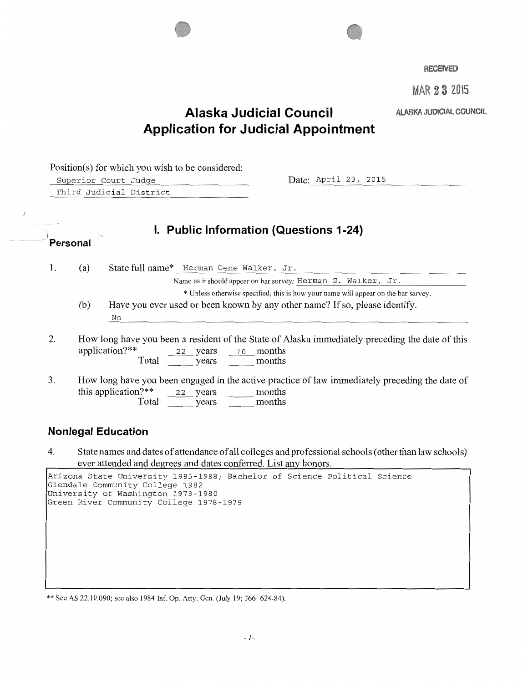



MAR 23 2015

## ALASKA JUDICIAL COUNCIL

## **Alaska Judicial Council Application for Judicial Appointment**

Position(s) for which you wish to be considered: Superior Court Judge **Date: April 23, 2015** Third Judicial District  $^{\prime}$ Personal **I. Public Information (Questions 1-24)**  1. (a) State full name\* Herman Gene Walker, Jr. Name as it should appear on bar survey: Herman G. Walker, Jr. \* Unless otherwise specified, this is how your name will appear on the bar survey. (b) Have you ever used or been known by any other name? If so, please identify. No 2. How long have you been a resident of the State of Alaska immediately preceding the date of this application?\*\* Total  $\frac{22}{\sqrt{2}}$  years  $\frac{10}{\sqrt{2}}$  months 3. How long have you been engaged in the active practice of law immediately preceding the date of this application?\*\*  $22$  years <u>\_\_\_\_\_</u> months this application?\*\*  $22$  years months Total years months

#### **Nonlegal Education**

4. State names and dates of attendance of all colleges and professional schools (other than law schools) ever attended and degrees and dates conferred. List any honors.

| Arizona State University 1985-1988; Bachelor of Science Political Science<br>Glendale Community College 1982<br>University of Washington 1979-1980<br>Green River Community College 1978-1979 |  |  |  |  |
|-----------------------------------------------------------------------------------------------------------------------------------------------------------------------------------------------|--|--|--|--|
|                                                                                                                                                                                               |  |  |  |  |
|                                                                                                                                                                                               |  |  |  |  |
|                                                                                                                                                                                               |  |  |  |  |

\*\*See AS 22.10.090; see also 1984 lnf. Op. Atty. Gen. (July 19; 366- 624-84).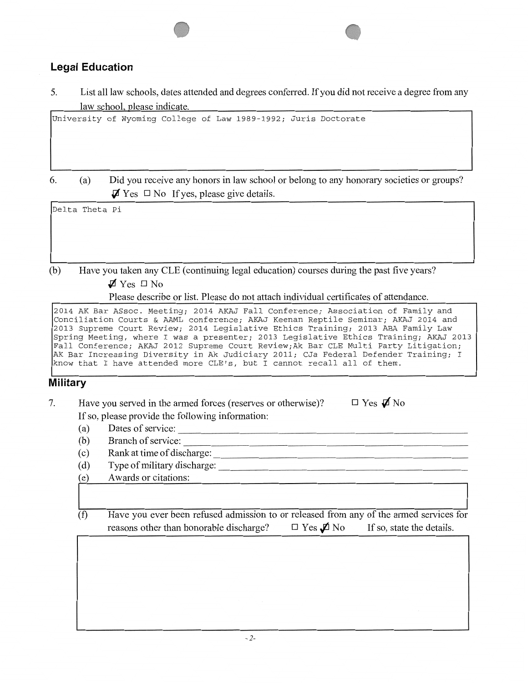## **Legal Education**

5. List all law schools, dates attended and degrees conferred. If you did not receive a degree from any law school, please indicate.

University of Wyoming College of Law 1989-1992; Juris Doctorate

6. (a) Did you receive any honors in law school or belong to any honorary societies or groups?  $\mathbf{\nabla}$  Yes  $\Box$  No If yes, please give details.

Delta Theta Pi

(b) Have you taken any CLE (continuing legal education) courses during the past five years?  $\blacktriangledown$  Yes  $\Box$  No

Please describe or list. Please do not attach individual certificates of attendance.

2014 AKBar ASsoc. Meeting; 2014 AKAJ Fall Conference; Association of Family and Conciliation Courts & AAML conference; AKAJ Keenan Reptile Seminar; AKAJ 2014 and 2013 Supreme Court Review; 2014 Legislative Ethics Training; 2013 ABA Family Law Spring Meeting, where I was a presenter; 2013 Legislative Ethics Training; AKAJ 2013 Fall Conference; AKAJ 2012 Supreme Court Review;Ak Bar CLE Multi Party Litigation; AK Bar Increasing Diversity in Ak Judiciary 2011; CJa Federal Defender Training; I know that I have attended more CLE's, but I cannot recall all of them.

## **Military**

- 7. Have you served in the armed forces (reserves or otherwise)? If so, please provide the following information: (a) Dates of service: \_\_\_\_\_\_\_\_\_\_\_\_\_\_\_\_\_\_\_\_\_\_\_\_\_\_ \_  $\Box$  Yes  $\cancel{d}$  No
	-
	- (a) Dates of service:  $\frac{1}{2}$  Branch of service:
	- (b) Branch of service:  $\frac{1}{\text{c}}$  Rank at time of discharge:
	- (d) Type of military discharge:
	- (e) Awards or citations:
	- (f) Have you ever been refused admission to or released from any of the armed services for reasons other than honorable discharge?  $\Box$  Yes  $\rlap{\,/}D$  No If so, state the details.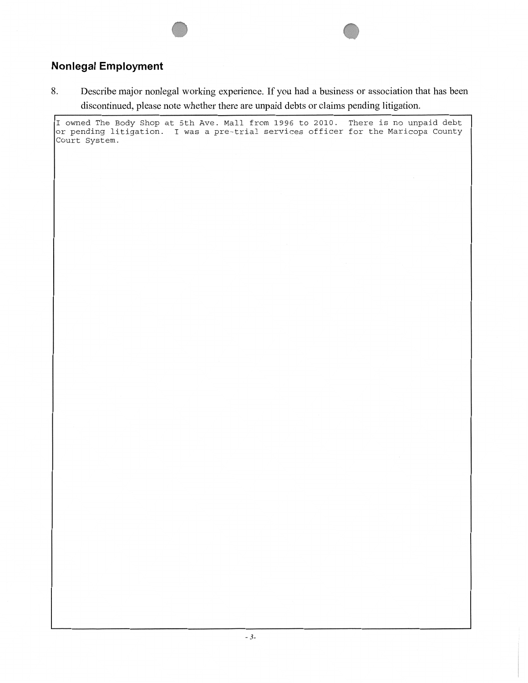## **Nonlegal Employment**

8. Describe major nonlegal working experience. If you had a business or association that has been discontinued, please note whether there are unpaid debts or claims pending litigation.

I owned The Body Shop at 5th Ave. Mall from 1996 to 2010. There is no unpaid debt or pending litigation. I was a pre-trial services officer for the Maricopa County Court System.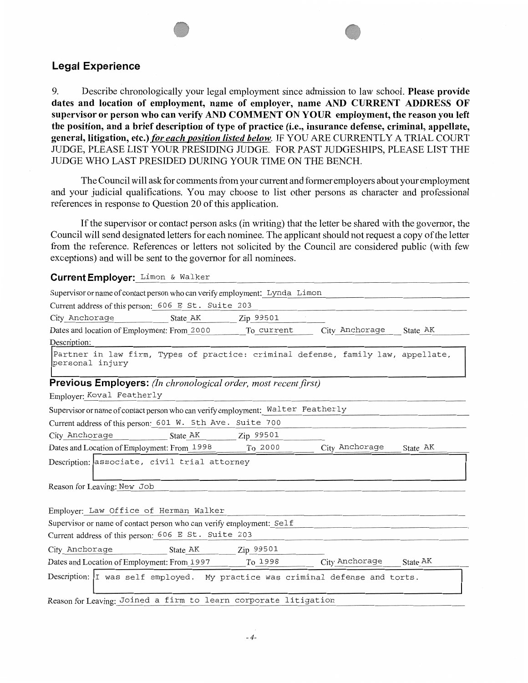#### **Legal Experience**

9. Describe chronologically your legal employment since admission to law school. **Please provide dates and location of employment, name of employer, name AND CURRENT ADDRESS OF supervisor or person who can verify AND COMMENT ON YOUR employment, the reason you left the position, and a brief description of type of practice (i.e., insurance defense, criminal, appellate,**  general, litigation, etc.) *for each position listed below*. IF YOU ARE CURRENTLY A TRIAL COURT JUDGE, PLEASE LIST YOUR PRESIDING JUDGE. FOR PAST JUDGESHIPS, PLEASE LIST THE JUDGE WHO LAST PRESIDED DURING YOUR TIME ON THE BENCH.

The Council will ask for comments from your current and fonner employers about your employment and your judicial qualifications. You may choose to list other persons as character and professional references in response to Question 20 of this application.

If the supervisor or contact person asks (in writing) that the letter be shared with the governor, the Council will send designated letters for each nominee. The applicant should not request a copy of the letter from the reference. References or letters not solicited by the Council are considered public (with few exceptions) and will be sent to the governor for all nominees.

Current Employer: Limon & Walker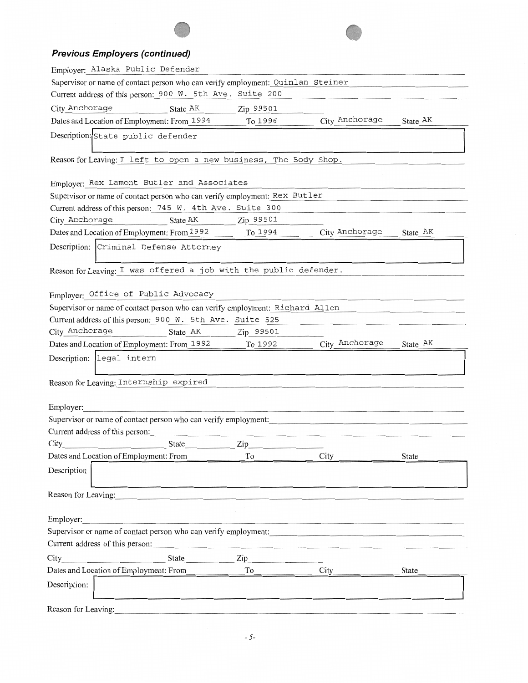## **Previous Employers (continued)**

| Employer: Alaska Public Defender                                                |           |                |          |  |  |
|---------------------------------------------------------------------------------|-----------|----------------|----------|--|--|
| Supervisor or name of contact person who can verify employment: Quinlan Steiner |           |                |          |  |  |
| Current address of this person: 900 W. 5th Ave. Suite 200                       |           |                |          |  |  |
| City Anchorage<br>State AK                                                      | Zip 99501 |                |          |  |  |
| Dates and Location of Employment: From 1994                                     | To 1996   | City Anchorage | State AK |  |  |
| Description: State public defender                                              |           |                |          |  |  |
|                                                                                 |           |                |          |  |  |
| Reason for Leaving: I left to open a new business, The Body Shop.               |           |                |          |  |  |
|                                                                                 |           |                |          |  |  |
| Employer: Rex Lamont Butler and Associates                                      |           |                |          |  |  |
| Supervisor or name of contact person who can verify employment: Rex Butler      |           |                |          |  |  |
| Current address of this person: 745 W. 4th Ave. Suite 300                       |           |                |          |  |  |
| City Anchorage<br>State AK                                                      | Zip 99501 |                |          |  |  |
| Dates and Location of Employment: From 1992                                     | To 1994   | City Anchorage | State AK |  |  |
| Description: Criminal Defense Attorney                                          |           |                |          |  |  |
| Reason for Leaving: I was offered a job with the public defender.               |           |                |          |  |  |
|                                                                                 |           |                |          |  |  |
| Employer: Office of Public Advocacy                                             |           |                |          |  |  |
| Supervisor or name of contact person who can verify employment: Richard Allen   |           |                |          |  |  |
| Current address of this person: 900 W. 5th Ave. Suite 525                       |           |                |          |  |  |
| City Anchorage<br>State AK                                                      | Zip 99501 |                |          |  |  |
| Dates and Location of Employment: From 1992                                     | To 1992   | City Anchorage | State AK |  |  |
| legal intern<br>Description:                                                    |           |                |          |  |  |
| Reason for Leaving: Internship expired                                          |           |                |          |  |  |
|                                                                                 |           |                |          |  |  |
| Employer:                                                                       |           |                |          |  |  |
| Supervisor or name of contact person who can verify employment:                 |           |                |          |  |  |
| Current address of this person:                                                 |           |                |          |  |  |
| City<br>State                                                                   | Zip       |                |          |  |  |
| Dates and Location of Employment: From                                          | To        | City           | State    |  |  |
| Description                                                                     |           |                |          |  |  |
|                                                                                 |           |                |          |  |  |
| Reason for Leaving:                                                             |           |                |          |  |  |
|                                                                                 |           |                |          |  |  |
| Employer:                                                                       |           |                |          |  |  |
| Supervisor or name of contact person who can verify employment:                 |           |                |          |  |  |
| Current address of this person:                                                 |           |                |          |  |  |
| State<br>City                                                                   | Zip       |                |          |  |  |
| Dates and Location of Employment: From                                          | To        | <b>City</b>    | State    |  |  |
| Description:                                                                    |           |                |          |  |  |
|                                                                                 |           |                |          |  |  |
| Reason for Leaving:                                                             |           |                |          |  |  |
|                                                                                 |           |                |          |  |  |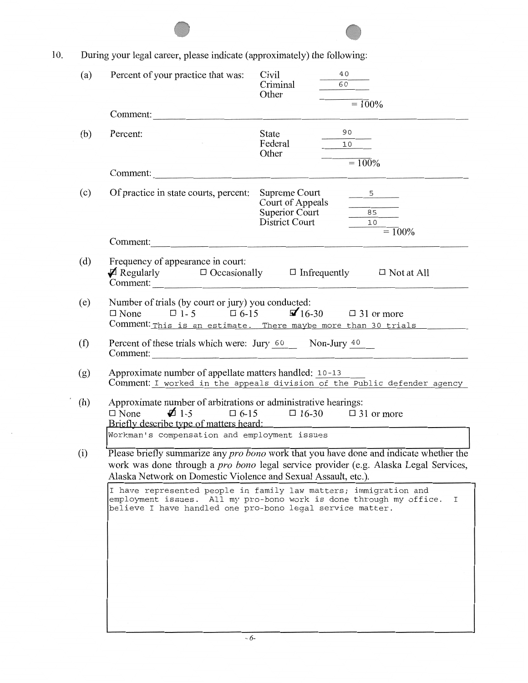| 10. |     | During your legal career, please indicate (approximately) the following:                                                                                                                                                                                       |                                                      |                                                                                           |  |  |
|-----|-----|----------------------------------------------------------------------------------------------------------------------------------------------------------------------------------------------------------------------------------------------------------------|------------------------------------------------------|-------------------------------------------------------------------------------------------|--|--|
|     | (a) | Percent of your practice that was:                                                                                                                                                                                                                             | Civil<br>Criminal<br>Other                           | 40<br>60<br>$= 100\%$                                                                     |  |  |
|     |     | Comment:                                                                                                                                                                                                                                                       |                                                      |                                                                                           |  |  |
|     | (b) | Percent:                                                                                                                                                                                                                                                       | State<br>Federal<br>Other                            | 90<br>$\frac{10}{10}$<br>$= 100\%$                                                        |  |  |
|     |     | Comment:                                                                                                                                                                                                                                                       |                                                      |                                                                                           |  |  |
|     | (c) | Of practice in state courts, percent: Supreme Court                                                                                                                                                                                                            | Court of Appeals<br>Superior Court<br>District Court | 5<br>$\begin{array}{c c} \hline 85 \\ \hline \end{array}$<br>$\frac{10}{10}$<br>$= 100\%$ |  |  |
|     |     | Comment:                                                                                                                                                                                                                                                       |                                                      |                                                                                           |  |  |
|     | (d) | Frequency of appearance in court:<br>$\mathcal{I}$ Regularly $\Box$ Occasionally $\Box$ Infrequently $\Box$ Not at All<br>Comment:                                                                                                                             |                                                      |                                                                                           |  |  |
|     | (e) | Number of trials (by court or jury) you conducted:<br>$\Box$ None $\Box$ 1-5 $\Box$ 6-15 $\Box$ 16-30 $\Box$ 31 or more<br>Comment: This is an estimate. There maybe more than 30 trials                                                                       |                                                      |                                                                                           |  |  |
|     | (f) | Percent of these trials which were: Jury 60 Non-Jury 40<br>Comment:                                                                                                                                                                                            |                                                      |                                                                                           |  |  |
|     | (g) | Approximate number of appellate matters handled: 10-13                                                                                                                                                                                                         |                                                      | Comment: I worked in the appeals division of the Public defender agency                   |  |  |
|     | (h) | Approximate number of arbitrations or administrative hearings:<br>$\overrightarrow{N}$ One $\overrightarrow{2}$ 1-5 $\overrightarrow{0}$ 6-15 $\overrightarrow{0}$ 16-30 $\overrightarrow{0}$ 31 or more<br>Briefly describe type of matters heard:            |                                                      |                                                                                           |  |  |
|     |     | Workman's compensation and employment issues                                                                                                                                                                                                                   |                                                      |                                                                                           |  |  |
|     | (i) | Please briefly summarize any <i>pro bono</i> work that you have done and indicate whether the<br>work was done through a <i>pro bono</i> legal service provider (e.g. Alaska Legal Services,<br>Alaska Network on Domestic Violence and Sexual Assault, etc.). |                                                      |                                                                                           |  |  |
|     |     | I have represented people in family law matters; immigration and<br>employment issues. All my pro-bono work is done through my office.<br>believe I have handled one pro-bono legal service matter.                                                            |                                                      | Ι                                                                                         |  |  |
|     |     |                                                                                                                                                                                                                                                                |                                                      |                                                                                           |  |  |
|     |     |                                                                                                                                                                                                                                                                |                                                      |                                                                                           |  |  |
|     |     |                                                                                                                                                                                                                                                                |                                                      |                                                                                           |  |  |
|     |     |                                                                                                                                                                                                                                                                |                                                      |                                                                                           |  |  |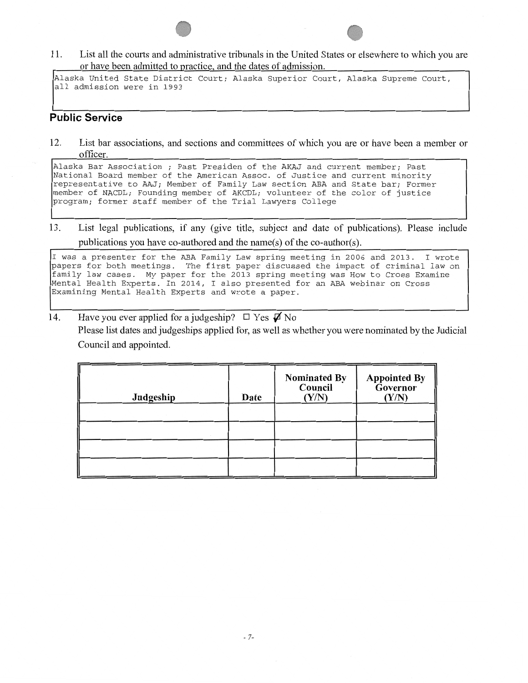11. List all the courts and administrative tribunals in the United States or elsewhere to which you are or have been admitted to practice, and the dates of admission.

Alaska United State District Court; Alaska Superior Court, Alaska Supreme Court, all admission were in 1993

#### **Public Service**

12. List bar associations, and sections and committees of which you are or have been a member or officer.

Alaska Bar Association ; Past Presiden of the AKAJ and current member; Past National Board member of the American Assoc. of Justice and current minority representative to AAJ; Member of Family Law section ABA and State bar; Former member of NACDL; Founding member of AKCDL; volunteer of the color of justice program; former staff member of the Trial Lawyers College

13. List legal publications, if any (give title, subject and date of publications). Please include publications you have co-authored and the name(s) of the co-author(s).

I was a presenter for the ABA Family Law spring meeting in 2006 and 2013. I wrote papers for both meetings. The first paper discussed the impact of criminal law on family law cases. My paper for the 2013 spring meeting was How to Cross Examine Mental Health Experts. In 2014, I also presented for an ABA webinar on Cross Examining Mental Health Experts and wrote a paper.

14. Have you ever applied for a judgeship?  $\Box$  Yes  $\boldsymbol{\not}$  No Please list dates and judgeships applied for, as well as whether you were nominated by the Judicial Council and appointed.

| Judgeship | Date | <b>Nominated By</b><br>Council<br>(Y/N) | <b>Appointed By</b><br><b>Governor</b><br>(Y/N) |
|-----------|------|-----------------------------------------|-------------------------------------------------|
|           |      |                                         |                                                 |
|           |      |                                         |                                                 |
|           |      |                                         |                                                 |
|           |      |                                         |                                                 |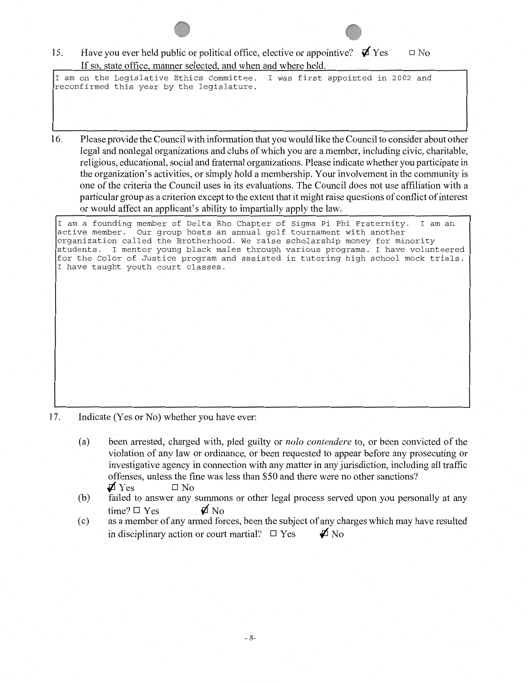15. Have you ever held public or political office, elective or appointive?  $\mathbf{\nabla}$  Yes If so, state office, manner selected, and when and where held.  $\square$  No

I am on the Legislative Ethics Committee. I was first appointed in 2002 and reconfirmed this year by the legislature.

16. Please provide the Council with information that you would like the Council to consider about other legal and nonlegal organizations and clubs of which you are a member, including civic, charitable, religious, educational, social and fraternal organizations. Please indicate whether you participate in the organization's activities, or simply hold a membership. Your involvement in the community is one of the criteria the Council uses in its evaluations. The Council does not use affiliation with a particular group as a criterion except to the extent that it might raise questions of conflict of interest or would affect an applicant's ability to impartially apply the law.

I am a founding member of Delta Rho Chapter of Sigma Pi Phi Fraternity. I am an Our group hosts an annual golf tournament with another organization called the Brotherhood. We raise scholarship money for minority students. I mentor young black males through various programs. I have volunteered for the Color of Justice program and assisted in tutoring high school mock trials. I have taught youth court classes.

- 17. Indicate (Yes or No) whether you have ever:
	- (a) been arrested, charged with, pled guilty or *nolo contendere* to, or been convicted of the violation of any law or ordinance, or been requested to appear before any prosecuting or investigative agency in connection with any matter in any jurisdiction, including all traffic offenses, unless the fme was less than \$50 and there were no other sanctions?  $\boldsymbol{\varphi}$  Yes  $\Box$  No
	- (b) failed to answer any summons or other legal process served upon you personally at any time?  $\Box$  Yes  $\Box$  No
	- (c) as a member of any armed forces, been the subject of any charges which may have resulted in disciplinary action or court martial?  $\Box$  Yes  $\Box$  No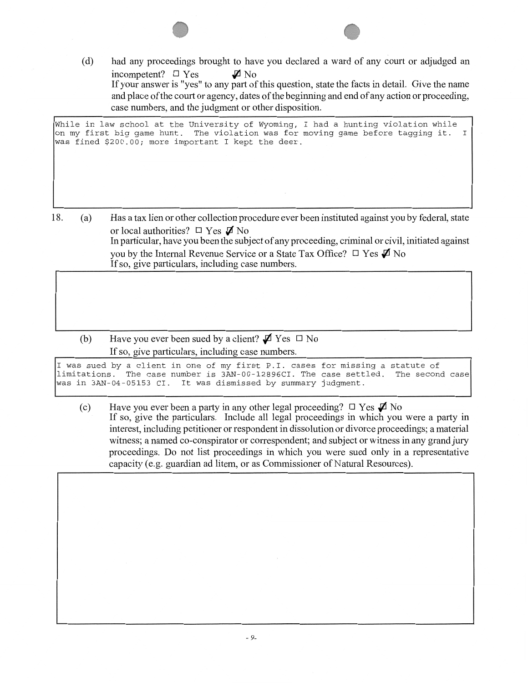(d) had any proceedings brought to have you declared a ward of any court or adjudged an incompetent?  $\square$  Yes  $\blacksquare$  No If your answer is "yes" to any part of this question, state the facts in detail. Give the name and place of the court or agency, dates of the beginning and end of any action or proceeding, case numbers, and the judgment or other disposition.

While in law school at the University of Wyoming, I had a hunting violation while on my first big game hunt. The violation was for moving game before tagging it. I was fined \$200.00; more important I kept the deer.

- 18. (a) Has a tax lien or other collection procedure ever been instituted against you by federal, state or local authorities?  $\Box$  Yes  $\Box$  No In pariicular, have you been the subject of any proceeding, criminal or civil, initiated against you by the Internal Revenue Service or a State Tax Office?  $\Box$  Yes  $\Box$  No If so, give particulars, including case numbers.
	- (b) Have you ever been sued by a client?  $\mathbf{\nabla}$  Yes  $\Box$  No If so, give particulars, including case numbers.

I was sued by a client in one of my first P.I. cases for missing a statute of limitations. The case number is 3AN-00-12896CI. The case settled.<br>was in 3AN-04-05153 CI. It was dismissed by summary judgment. It was dismissed by summary judgment.

(c) Have you ever been a party in any other legal proceeding?  $\Box$  Yes  $\mathcal{A}$  No If so, give the particulars. Include all legal proceedings in which you were a party in interest, including petitioner or respondent in dissolution or divorce proceedings; a material witness; a named co-conspirator or correspondent; and subject or witness in any grand jury proceedings. Do not list proceedings in which you were sued only in a representative capacity (e.g. guardian ad litem, or as Commissioner of Natural Resources).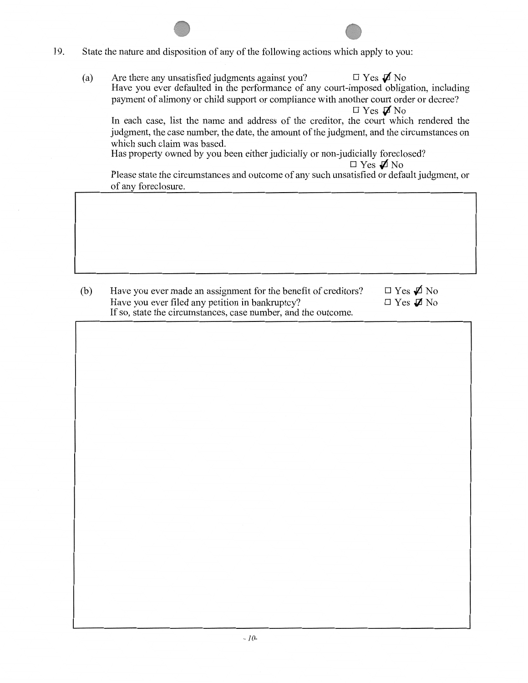- 19. State the nature and disposition of any of the following actions which apply to you:
	- (a) Are there any unsatisfied judgments against you?  $\Box$  Yes  $\mathcal{J}$  No Have you ever defaulted in the performance of any court-imposed obligation, including payment of alimony or child support or compliance with another court order or decree?  $\Box$  Yes  $\not$  No

In each case, list the name and address of the creditor, the court which rendered the judgment, the case number, the date, the amount of the judgment, and the circumstances on which such claim was based.

Has property owned by you been either judicially or non-judicially foreclosed?

 $\Box$  Yes  $\rlap{\hspace{0.02cm}/}{\mathcal{A}}$  No

Please state the circumstances and outcome of any such unsatisfied or default judgment, or of any foreclosure.

(b) Have you ever made an assignment for the benefit of creditors? Have you ever filed any petition in bankruptcy? If so, state the circumstances, case number, and the outcome.  $\Box$  Yes  $\cancel{\Box}$  No  $\Box$  Yes  $\cancel{\mathcal{A}}$  No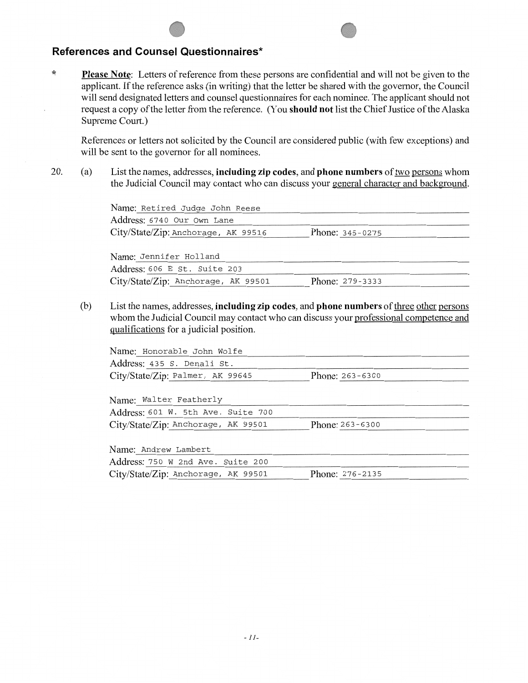#### **References and Counsel Questionnaires\***

 $\star$ **Please Note:** Letters of reference from these persons are confidential and will not be given to the applicant. If the reference asks (in writing) that the letter be shared with the govemor, the Council will send designated letters and counsel questionnaires for each nominee. The applicant should not request a copy of the letter from the reference. (You **should not** list the Chief Justice of the Alaska Supreme Court.)

References or letters not solicited by the Council are considered public (with few exceptions) and will be sent to the govemor for all nominees.

20. (a) List the names, addresses, **including zip codes,** and **phone numbers** of two persons whom the Judicial Council may contact who can discuss your general character and background.

> Name: Retired Judge John Reese Address: 6740 Our Own Lane City/State/Zip: Anchorage, AK 99516

Name: Jennifer Holland Address: 606 E St. Suite 203 City/State/Zip: Anchorage, AK 99501 Phone: 279-3333

Phone: 345-0275

(b) List the names, addresses, **including zip codes, and phone numbers** of three other persons whom the Judicial Council may contact who can discuss your professional competence and qualifications for a judicial position.

| Name: Honorable John Wolfe                             |                     |  |
|--------------------------------------------------------|---------------------|--|
| Address: 435 S. Denali St.                             |                     |  |
| City/State/Zip: Palmer, AK 99645                       | Phone: $263 - 6300$ |  |
|                                                        |                     |  |
| Name: Walter Featherly                                 |                     |  |
| Address: 601 W. 5th Ave. Suite 700                     |                     |  |
| City/State/Zip: Anchorage, AK 99501                    | Phone: 263-6300     |  |
|                                                        |                     |  |
| Name: Andrew Lambert                                   |                     |  |
| Address: 750 W 2nd Ave. Suite 200                      |                     |  |
| City/State/Zip: Anchorage, AK 99501<br>Phone: 276-2135 |                     |  |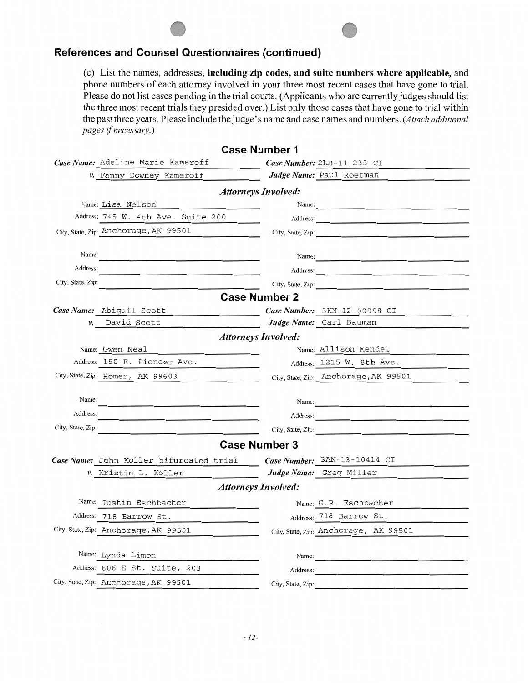## **References and Counsel Questionnaires (continued)**

(c) List the names, addresses, including zip codes, and suite numbers where applicable, and phone numbers of each attorney involved in your three most recent cases that have gone to trial. Please do not list cases pending in the trial courts. (Applicants who are currently judges should list the three most recent trials they presided over.) List only those cases that have gone to trial within the past three years. Please include the judge's name and case names and numbers. *(Attach additional pages* if *necessary.)* 

| <b>Case Number 1</b>                                                                                 |                                                                                                                                                                                                                                |  |  |  |  |  |
|------------------------------------------------------------------------------------------------------|--------------------------------------------------------------------------------------------------------------------------------------------------------------------------------------------------------------------------------|--|--|--|--|--|
| Case Name: Adeline Marie Kameroff                                                                    | Case Number: $2KB-11-233$ CI                                                                                                                                                                                                   |  |  |  |  |  |
| v. Fanny Downey Kameroff                                                                             | Judge Name: Paul Roetman                                                                                                                                                                                                       |  |  |  |  |  |
| <b>Attorneys Involved:</b>                                                                           |                                                                                                                                                                                                                                |  |  |  |  |  |
| Name: Lisa Nelson                                                                                    | Name:                                                                                                                                                                                                                          |  |  |  |  |  |
| Address: 745 W. 4th Ave. Suite 200                                                                   | Address:                                                                                                                                                                                                                       |  |  |  |  |  |
| City, State, Zip: Anchorage, AK 99501<br><u> 1989 - Jan Sterlingen, skrivatsk politik (</u>          | City, State, Zip:                                                                                                                                                                                                              |  |  |  |  |  |
|                                                                                                      |                                                                                                                                                                                                                                |  |  |  |  |  |
| Name:                                                                                                | Name:                                                                                                                                                                                                                          |  |  |  |  |  |
| Address:                                                                                             | Address:                                                                                                                                                                                                                       |  |  |  |  |  |
| City, State, Zip:                                                                                    | City, State, Zip:                                                                                                                                                                                                              |  |  |  |  |  |
|                                                                                                      | <b>Case Number 2</b>                                                                                                                                                                                                           |  |  |  |  |  |
| Case Name: Abigail Scott                                                                             | Case Number: 3KN-12-00998 CI                                                                                                                                                                                                   |  |  |  |  |  |
| David Scott<br>ν.                                                                                    | Judge Name: Carl Bauman                                                                                                                                                                                                        |  |  |  |  |  |
|                                                                                                      | <b>Attorneys Involved:</b>                                                                                                                                                                                                     |  |  |  |  |  |
| Name: Gwen Neal                                                                                      | Name: Allison Mendel                                                                                                                                                                                                           |  |  |  |  |  |
| Address: 190 E. Pioneer Ave.                                                                         | Address: 1215 W. 8th Ave.                                                                                                                                                                                                      |  |  |  |  |  |
| City, State, Zip: Homer, AK 99603                                                                    | City, State, Zip: Anchorage, AK 99501                                                                                                                                                                                          |  |  |  |  |  |
| Name:                                                                                                |                                                                                                                                                                                                                                |  |  |  |  |  |
| Address:                                                                                             | Name: 2008.000 million and 2008.000 million and 2008.000 million and 2008.000 million and 2008.000 million and 2008.000 million and 2008.000 million and 2008.000 million and 2008.000 million and 2008.000 million and 2008.0 |  |  |  |  |  |
|                                                                                                      | Address:                                                                                                                                                                                                                       |  |  |  |  |  |
| City, State, Zip:<br>the contract of the contract of the contract of the contract of the contract of | City, State, Zip:                                                                                                                                                                                                              |  |  |  |  |  |
|                                                                                                      | <b>Case Number 3</b>                                                                                                                                                                                                           |  |  |  |  |  |
| Case Name: John Koller bifurcated trial                                                              | Case Number: 3AN-13-10414 CI                                                                                                                                                                                                   |  |  |  |  |  |
| v. Kristin L. Koller                                                                                 | Judge Name: Greg Miller                                                                                                                                                                                                        |  |  |  |  |  |
| <b>Attorneys Involved:</b>                                                                           |                                                                                                                                                                                                                                |  |  |  |  |  |
| Name: Justin Eschbacher                                                                              | Name: G.R. Eschbacher                                                                                                                                                                                                          |  |  |  |  |  |
| Address: 718 Barrow St.                                                                              | Address: 718 Barrow St.                                                                                                                                                                                                        |  |  |  |  |  |
| City, State, Zip: Anchorage, AK 99501                                                                | City, State, Zip: Anchorage, AK 99501                                                                                                                                                                                          |  |  |  |  |  |
|                                                                                                      |                                                                                                                                                                                                                                |  |  |  |  |  |
| Name: Lynda Limon                                                                                    | Name: $\frac{1}{\sqrt{1-\frac{1}{2}} \cdot \frac{1}{2}}$                                                                                                                                                                       |  |  |  |  |  |
| Address: 606 E St. Suite, 203                                                                        | Address:                                                                                                                                                                                                                       |  |  |  |  |  |
| City, State, Zip: Anchorage, AK 99501                                                                | City, State, Zip:                                                                                                                                                                                                              |  |  |  |  |  |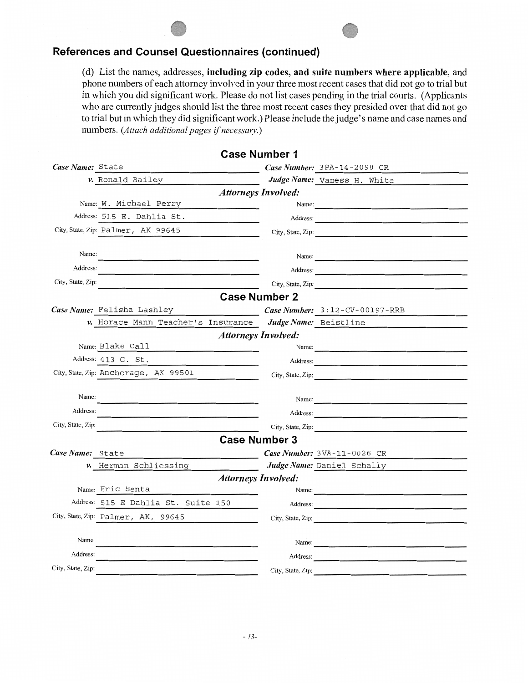## **References and Counsel Questionnaires (continued)**

(d) List the names, addresses, including zip codes, and suite numbers where applicable, and phone numbers of each attomey involved in your three most recent cases that did not go to trial but in which you did significant work. Please do not list cases pending in the trial courts. (Applicants who are currently judges should list the three most recent cases they presided over that did not go to trial but in which they did significant work.) Please include the judge's name and case names and numbers. *(Attach additional pages* if *necessary.)* 

**Case Number 1** 

| Case Name: State  | the control of the control of the control of                                                                                                                                                                                                             |                            | Case Number: 3PA-14-2090 CR                                                                                           |
|-------------------|----------------------------------------------------------------------------------------------------------------------------------------------------------------------------------------------------------------------------------------------------------|----------------------------|-----------------------------------------------------------------------------------------------------------------------|
|                   | v. Ronald Bailey                                                                                                                                                                                                                                         |                            | Judge Name: Vaness H. White                                                                                           |
|                   |                                                                                                                                                                                                                                                          | <b>Attorneys Involved:</b> |                                                                                                                       |
|                   | Name: W. Michael Perry                                                                                                                                                                                                                                   |                            | Name:                                                                                                                 |
|                   | Address: 515 E. Dahlia St.                                                                                                                                                                                                                               |                            | Address:                                                                                                              |
|                   | City, State, Zip: Palmer, AK 99645                                                                                                                                                                                                                       |                            | City, State, Zip:                                                                                                     |
|                   |                                                                                                                                                                                                                                                          |                            |                                                                                                                       |
| Name:             |                                                                                                                                                                                                                                                          |                            | Name: $\frac{1}{\sqrt{1-\frac{1}{2}}}\left\{ \frac{1}{2}, \frac{1}{2}, \frac{1}{2}, \frac{1}{2}, \frac{1}{2}\right\}$ |
| Address:          |                                                                                                                                                                                                                                                          |                            | Address:                                                                                                              |
| City, State, Zip: |                                                                                                                                                                                                                                                          |                            | City, State, Zip:                                                                                                     |
|                   |                                                                                                                                                                                                                                                          | <b>Case Number 2</b>       |                                                                                                                       |
|                   | Case Name: Felisha Lashley                                                                                                                                                                                                                               |                            | Case Number: 3:12-CV-00197-RRB                                                                                        |
|                   | v. Horace Mann Teacher's Insurance                                                                                                                                                                                                                       |                            | Judge Name: Beistline                                                                                                 |
|                   |                                                                                                                                                                                                                                                          | <b>Attorneys Involved:</b> |                                                                                                                       |
|                   | Name: Blake Call<br><u> 1989 - Johann Harry Harry Harry Harry Harry Harry Harry Harry Harry Harry Harry Harry Harry Harry Harry Harry Harry Harry Harry Harry Harry Harry Harry Harry Harry Harry Harry Harry Harry Harry Harry Harry Harry Harry Ha</u> |                            | Name:                                                                                                                 |
|                   | Address: 413 G. St.                                                                                                                                                                                                                                      |                            | Address:                                                                                                              |
|                   | City, State, Zip: Anchorage, AK 99501                                                                                                                                                                                                                    |                            | City, State, Zip:                                                                                                     |
|                   |                                                                                                                                                                                                                                                          |                            |                                                                                                                       |
| Name:             |                                                                                                                                                                                                                                                          |                            | Name:                                                                                                                 |
| Address:          |                                                                                                                                                                                                                                                          |                            | Address:                                                                                                              |
| City, State, Zip: |                                                                                                                                                                                                                                                          |                            | City, State, Zip:                                                                                                     |
|                   |                                                                                                                                                                                                                                                          | <b>Case Number 3</b>       |                                                                                                                       |
| Case Name: State  |                                                                                                                                                                                                                                                          |                            | Case Number: 3VA-11-0026 CR                                                                                           |
|                   | v. Herman Schliessing                                                                                                                                                                                                                                    |                            | Judge Name: Daniel Schally                                                                                            |
|                   |                                                                                                                                                                                                                                                          | <b>Attorneys Involved:</b> |                                                                                                                       |
|                   | Name: Eric Senta                                                                                                                                                                                                                                         |                            | Name:                                                                                                                 |
|                   | Address: 515 E Dahlia St. Suite 150                                                                                                                                                                                                                      |                            | Address:                                                                                                              |
|                   | City, State, Zip: Palmer, AK, 99645                                                                                                                                                                                                                      |                            | City, State, Zip:                                                                                                     |
|                   |                                                                                                                                                                                                                                                          |                            |                                                                                                                       |
| Name:             |                                                                                                                                                                                                                                                          |                            | Name:                                                                                                                 |
| Address:          |                                                                                                                                                                                                                                                          |                            | Address:                                                                                                              |
| City, State, Zip: |                                                                                                                                                                                                                                                          | City, State, Zip:          |                                                                                                                       |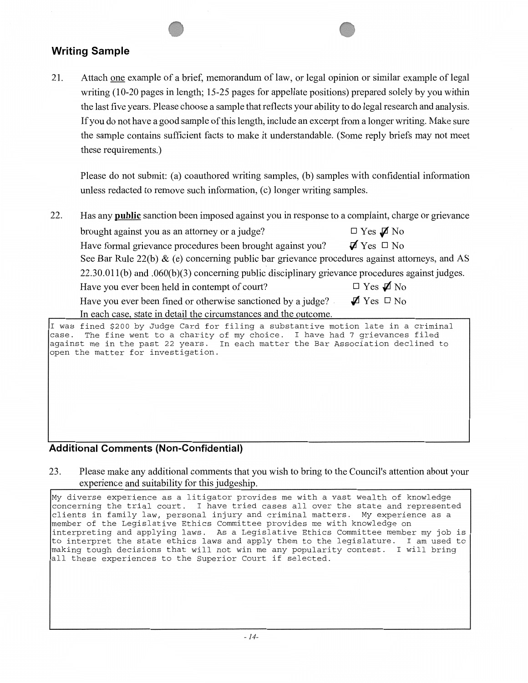## **Writing Sample**

21. Attach one example of a brief, memorandum of law, or legal opinion or similar example of legal writing (10-20 pages in length; 15-25 pages for appellate positions) prepared solely by you within the last five years. Please choose a sample that reflects your ability to do legal research and analysis. If you do not have a good sample of this length, include an excerpt from a longer writing. Make sure the sample contains sufficient facts to make it understandable. (Some reply briefs may not meet these requirements.)

Please do not submit: (a) coauthored writing samples, (b) samples with confidential information unless redacted to remove such information, (c) longer writing samples.

22. Has any **public** sanction been imposed against you in response to a complaint, charge or grievance

brought against you as an attorney or a judge?  $\Box$  Yes  $\Box$  No Have formal grievance procedures been brought against you?  $\vec{\mathbf{Z}}$   $\gamma$ es  $\Box$  No See Bar Rule 22(b)  $\&$  (e) concerning public bar grievance procedures against attorneys, and AS 22.30.0ll(b) and .060(b)(3) concerning public disciplinary grievance procedures against judges. Have you ever been held in contempt of court?  $\Box$  Yes  $\cancel{\mathcal{D}}$  No Have you ever been fined or otherwise sanctioned by a judge?  $\blacktriangledown$  Yes  $\square$  No In each case, state in detail the circumstances and the outcome.

I was fined \$200 by Judge Card for filing a substantive motion late in a criminal The fine went to a charity of my choice. I have had 7 grievances filed against me in the past 22 years. In each matter the Bar Association declined to open the matter for investigation.

## **Additional Comments (Non-Confidential)**

23. Please make any additional comments that you wish to bring to the Council's attention about your experience and suitability for this judgeship.

My diverse experience as a litigator provides me with a vast wealth of knowledge concerning the trial court. I have tried cases all over the state and represented clients in family law, personal injury and criminal matters. My experience as a member of the Legislative Ethics Committee provides me with knowledge on interpreting and applying laws. As a Legislative Ethics Committee member my job is to interpret the state ethics laws and apply them to the legislature. I am used to making tough decisions that will not win me any popularity contest. I will bring all these experiences to the Superior Court if selected.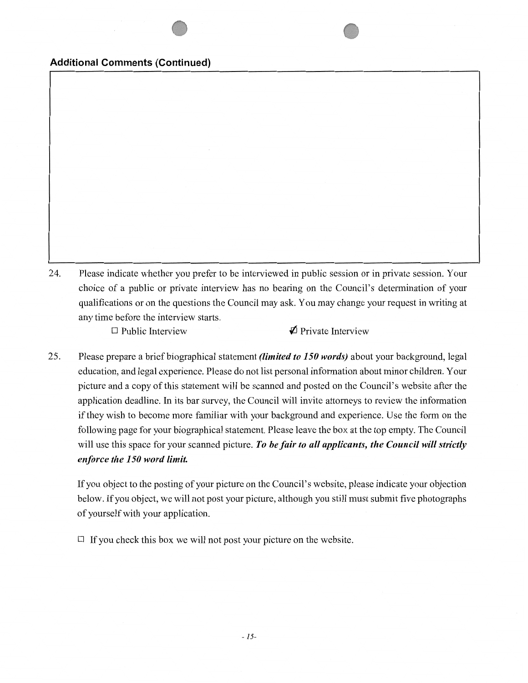#### **Additional Comments (Continued)**

24. Please indicate whether you prefer to be interviewed in public session or in private session. Your choice of a public or private interview has no bearing on the Council's detennination of your qualifications or on the questions the Council may ask. You may change your request in writing at any time before the interview starts.

 $\square$  Public Interview  $\blacklozenge$  Private Interview

25. Please prepare a brief biographical statement *(limited to 150 words)* about your background, legal education, and legal experience. Please do not list personal information about minor children. Your picture and a copy of this statement will be scanned and posted on the Council's website after the application deadline. In its bar survey, the Council will invite attorneys to review the information if they wish to become more familiar with your background and experience. Use the form on the following page for your biographical statement. Please leave the box at the top empty. The Council will use this space for your scanned picture. *To be fair to all applicants, the Council will strictly enforce the 150 word limit.* 

If you object to the posting of your picture on the Council's website, please indicate your objection below. If you object, we will not post your picture, although you still must submit five photographs of yourself with your application.

 $\Box$  If you check this box we will not post your picture on the website.